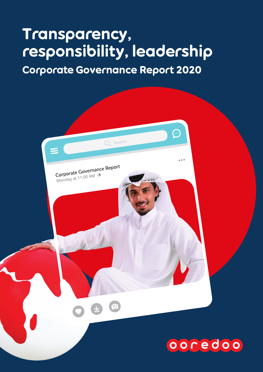# Transparency, responsibility, leadership

Corporate Governance Report 2020

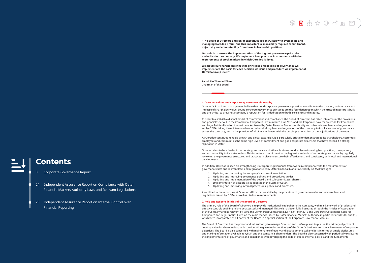**"The Board of Directors and senior executives are entrusted with overseeing and managing Ooredoo Group, and this important responsibility requires commitment, objectivity and accountability from those in leadership positions.** 

**Our role is to ensure the implementation of the highest governance principles and ethics in the company. We implement best practices in accordance with the requirements of stock markets in which Ooredoo is listed.** 

**We assure our shareholders that the principles and policies of governance we implement are the basis for each decision we issue and procedure we implement at Ooredoo Group level."** 

**Faisal Bin Thani Al-Thani**  Chairman of the Board

#### **1. Ooredoo values and corporate governance philosophy**

Ooredoo's Board and management believe that good corporate governance practices contribute to the creation, maintenance and increase of shareholder value. Sound corporate governance principles are the foundation upon which the trust of investors is built, and are critical to growing a company's reputation for its dedication to both excellence and integrity.

In order to establish a distinct model of commitment and compliance, the Board of Directors has taken into account the provisions and principles set out in the Commercial Companies Law number 11 for 2015, and the Corporate Governance Code for Companies and Legal Entities listed on the main market issued by Qatar Financial Markets Authority and other relevant laws and regulations set by QFMA, taking these into consideration when drafting laws and regulations of the company to instill a culture of governance across the company, and in the practices of all of its employees with the best implementation of the adjudications of the code.

As Ooredoo continues its rapid growth and global expansion, it is particularly critical to demonstrate to its shareholders, customers, employees and communities the same high levels of commitment and good corporate citizenship that have earned it a strong reputation in Qatar.

Ooredoo aims to be a leader in corporate governance and ethical business conduct by maintaining best practices, transparency and accountability to its stakeholders. This includes a commitment to the highest standards of corporate governance, by regularly reviewing the governance structures and practices in place to ensure their effectiveness and consistency with local and international developments.

In addition, Ooredoo is keen on strengthening its corporate governance framework in compliance with the requirements of governance rules and relevant laws and regulations set by Qatar Financial Markets Authority (QFMA) through:

- 1. Updating and improving the company's articles of association.
- 2. Updating and improving governance policies and procedures guides.<br>2. Updating and implementation of the board's and sub-committees' ch
- 3. Updating and implementation of the board's and sub-committees' charter.
- 4. Implementation of best practices adopted in the State of Qatar.<br>5. Undating and improving internal procedures, policies and proce
- 5. Updating and improving internal procedures, policies and processes.

As outlined in the report, we at Ooredoo affirm that we abide by the provisions of governance rules and relevant laws and regulations issued by QFMA, as well as disclosure requirements.

#### **2. Role and Responsibilities of the Board of Directors**

The primary role of the Board of Directors is to provide institutional leadership to the Company, within a framework of prudent and effective controls enabling risk to be assessed and managed. This role has been fully illustrated through the Articles of Association of the Company and its relevant by-laws, the Commercial Companies Law No. (11) for 2015 and Corporate Governance Code for Companies and Legal Entities listed on the main market issued by Qatar Financial Markets Authority, in particular articles (8) and (9), which were incorporated as a Charter of the Board in a special section of the Corporate Governance Manual.

The Board of Directors has the power and full authority to manage Ooredoo and its Group, and to pursue the primary objective of creating value for shareholders, with consideration given to the continuity of the Group's business and the achievement of corporate objectives. The Board is also concerned with maintenance of equity and justice among stakeholders in terms of timely disclosures and making information available to QFMA and the company's shareholders. The Board is also concerned with periodically reviewing the implementations of governance and compliance with developing the code of ethics, internal policies and the fundamental

## Contents

- 3 Corporate Governance Report
- 24 Independent Assurance Report on Compliance with Qatar Financial Markets Authority Laws and Relevant Legislations
- 26 Independent Assurance Report on Internal Control over Financial Reporting



- 
- 
- 
- 
-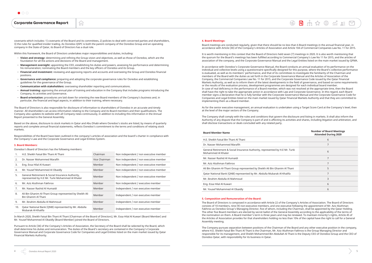covenants which includes: 1) covenants of the Board and its committees, 2) policies to deal with concerned parties and shareholders, 3) the rules for qualified insider trading. As Ooredoo QSPC is both the parent company of the Ooredoo Group and an operating company in the State of Qatar, its Board of Directors has a dual role.

Within this framework, the Board of Directors undertakes major responsibilities and duties, including:

'n

- − **Vision and strategy:** determining and refining the Group vision and objectives, as well as those of Ooredoo, which are the foundation for all the actions and decisions of the Board and management.
- − **Management oversight:** appointing the CEO, establishing his duties and powers, assessing his performance and determining his remuneration; nominating the Board members and the key officers of Ooredoo and its Group.
- − **Financial and investment:** reviewing and approving reports and accounts and overseeing the Group and Ooredoo financial positions.
- − **Governance and compliance:** preparing and adopting the corporate governance rules for Ooredoo and establishing guidelines for the governance of the Group.
- − **Communication with stakeholders:** overseeing shareholder reporting and communications.
- − **Annual training:** approving the annual plan of training and education in the Company that includes programs introducing the Company, its activities and Governance.
- − **Board orientation:** procedures are laid down for orienting the new Board members of the Company's business and, in particular, the financial and legal aspects, in addition to their training, where necessary.

The Board of Directors is also responsible for disclosure of information to shareholders of Ooredoo in an accurate and timely manner. All shareholders can access information relating to the Company and its Board members and their qualifications. The Company also updates its website with all Company news continuously, in addition to including this information in the Annual Report presented to the General Assembly.

Based on the above, disclosure to stock markets in Qatar and Abu Dhabi where Ooredoo's stocks are listed, by means of quarterly reports and complete annual financial statements, reflects Ooredoo's commitment to the terms and conditions of relating stock markets.

Responsibilities of the Board have been outlined in the company's articles of association and the board's charter in compliance with the Company's Law and the Corporate Governance and Legal Entities System.

#### **3. Board Members:**

Ooredoo's Board of Directors has the following members:

| 1.  | H.E. Sheikh Faisal Bin Thani Al Thani                                                               | Chairman      | Non independent / non executive member |
|-----|-----------------------------------------------------------------------------------------------------|---------------|----------------------------------------|
| 2.  | Dr. Nasser Mohammed Marafih                                                                         | Vice Chairman | Non independent / non executive member |
| 3.  | Eng. Essa Hilal Al Kuwari                                                                           | Member        | Non independent / non executive member |
| 4.  | Mr. Yousef Mohammed Al Obaidly                                                                      | Member        | Non independent / non executive member |
| 5.  | General Retirement & Social Insurance Authority,<br>represented by H.E Mr. Turki Mohammed Al Khater | Member        | Non independent / non executive member |
| 6.  | Mr. Aziz Aluthman Fakhroo                                                                           | Member        | Non independent / executive member     |
| 7.  | Mr. Nasser Rashid Al Humaidi                                                                        | Member        | Independent / non executive member     |
| 8.  | Ali Bin Ghanim Al-Thani Group represented by Sheikh Ali<br>Bin Ghanim Al Thani                      | Member        | Independent / non executive member     |
| 9.  | Mr. Ibrahim Abdulla Al Mahmoud                                                                      | Member        | Independent / non executive member     |
| 10. | Qatar National Bank (QNB) represented by Mr. Abdulla<br>Mubarak Al-Khalifa                          | Member        | Independent / non executive member     |

In March 2020, Sheikh Faisal Bin Thani Al Thani (Chairman of the Board of Directors), Mr. Essa Hilal Al Kuwari (Board Member) and Mr. Yousef Mohammed Al Obaidly (Board Member) joined the Board of Directors.

Pursuant to Article (34) of the Company's Articles of Association, the Secretary of the Board shall be selected by the Board, which shall determine his duties and remuneration. The duties of the Board's secretary are contained in the Company's Corporate Governance Manual and Corporate Governance Code for Companies and Legal Entities listed on the main market issued by Qatar Financial Markets Authority.

#### **4. Board Meetings:**

Board meetings are conducted regularly, given that there should be no less than 6 Board meetings in the annual financial year, in accordance with Article (30) of the Company's Articles of Association and Article 104 of Commercial Companies Law No. 11 for 2015.

It is worth mentioning in this context that the Board of Directors held seven (7) meetings in 2020. It is also worth mentioning that the quorum for the Board's meetings has been fulfilled according to Commercial Company's Law No 11 for 2015, and the articles of association of the company, and the Corporate Governance Manual and the Legal Entities listed on the main market issued by QFMA.

In accordance with Ooredoo's Corporate Governance Manual, the Board conducts an annual evaluation of its performance on the individual and collective levels using a questionnaire specifically designed for this purpose, where the Board's collective performance is evaluated, as well as its members' performance, and that of its committees to investigate the familiarity of the Chairman and members of the Board with the duties as set forth in the Corporate Governance Manual and the Articles of Association of the Company, the Commercial Companies Law No. 11 for 2015, and the Corporate Governance Code issued by the Qatar Financial Markets Authority, as well as to inform them of the latest developments in the field of governance, and based on some requirements or the results of the evaluation process, development programmes are designed for each individual board member. In case of real deficiency in the performance of a Board member, which was not resolved at the appropriate time, then the Board shall have the right to take the appropriate action in accordance with Law and Corporate Governance. In this regard, each Board member signs a declaration that he is fully familiar with the Corporate Governance Manual and the Corporate Governance Code for Companies and Legal Entities listed on the main market issued by Qatar Financial Markets Authority and that they are committed to implementing them as a Board member.

As for the senior executive management, an annual evaluation is undertaken using a Target Score Card at the Company's level, then at the level of the major sectors of the Company.

The Company shall comply with the rules and conditions that govern the disclosure and listing in markets. It shall also inform the Authority of any dispute that the Company is part of and is affecting its activities and shares, including litigation and arbitration, and shall disclose transactions or deals concluded with any related party.

**Board Member Name Number of Board Meetings Attended During 2020**

| H.E. Sheikh Faisal Bin Thani Al Thani                                                               | 6 |
|-----------------------------------------------------------------------------------------------------|---|
| Dr. Nasser Mohammed Marafih                                                                         |   |
| General Retirement & Social Insurance Authority, represented by H.E Mr. Turki<br>Mohammed Al Khater | 6 |
| Mr. Nasser Rashid Al Humaidi                                                                        |   |
| Mr. Aziz Aluthman Fakhroo                                                                           |   |
| Ali Bin Ghanim Al-Thani Group represented by Sheikh Ali Bin Ghanim Al Thani                         | 5 |
| Qatar National Bank (QNB) represented by Mr. Abdulla Mubarak Al-Khalifa                             |   |
| Mr. Ibrahim Abdulla Al Mahmoud                                                                      | 3 |
| Eng. Essa Hilal Al Kuwari                                                                           | 6 |
| Mr. Yousef Mohammed Al Obaidly                                                                      | 6 |
|                                                                                                     |   |

#### **5. Composition and Remuneration of the Board:**

The Board of Directors is composed in accordance with Article 22 of the Company's Articles of Association. The Board of Directors consists of 10 members, nine (9) non-executive members, and one executive following the appointment of Mr. Aziz Aluthman Fakhroo as Ooredoo Group's Managing Director, five of whom, including the Chairman, shall be appointed by the Qatar Holding. The other five Board members are elected by secret ballot of the General Assembly according to the applicability of the terms of the nomination on them. A Board member's term is three years and may be renewed. To maintain minority's rights, Article 45 of the Articles of Association provides for that shareholders holding no less than 10% of the capital have the right to call for a General Assembly meeting.

The Company pursues separation between positions of the Chairman of the Board and any other executive position in the company, where H.E. Sheikh Faisal Bin Thani Al Thani is the Chairman, Mr. Aziz Aluthman Fakhroo is the Group Managing Director and responsible for its management, and Sheikh Mohammed Bin Abdullah Al Thani is the Deputy CEO of Ooredoo Group and the CEO of Ooredoo Qatar, with responsibility for its business in Qatar.

 $\circledR$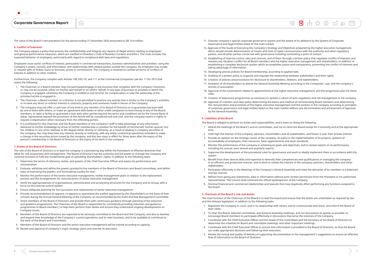The value of the Board's remunerations for the period ending 31 December 2020 amounted to QR 14.4 million.

**Tol** 

#### **6. Conflict of Interests:**

The Company adopts a policy that ensures the confidentiality and integrity any reports of illegal actions relating to employees and general performance measures, which are clarified in Ooredoo's Code of Business Conduct and Ethics. The Code includes the expected behavior of employees, particularly with regard to compliance with laws and regulations.

Employees must avoid: conflicts of interest, particularly in commercial transactions, business administration and activities; using the Company's assets, records, and information; and relationships with related parties outside the Company. No employee may accept or request gifts or bribes, loans or bonuses, prizes or commissions. The Company is resolved to combat all forms of conflicts of interest in addition to other matters.

Furthermore, the Company complies with Articles 108,109,110, and 111 of the Commercial Companies Law No. 11 for 2015 that states the following:

- 1. The Chairman or a Board member may not participate/engage in any business that competes with the company's business, or may not be involved, either on his/her own behalf or on others' behalf, in any type of business or activities in which the Company is engaged, otherwise the Company is entitled to ask him/her for compensation or take the ownership of the activities he/she is engaged in.
- 2. The Chairman, a Board member, or a Director is not permitted to practice any activity that is similar to the Company's activities, or to have any direct or indirect interest in contracts, projects and covenants made in favour of the Company.
- 3. The company may not offer a cash loan of any kind to any member of its Board of Directors or to guarantee any loan held by one of them with others, or make an agreement with banks or other credit companies to lend money to any of the Board members, or open a facility or guarantee a loan with other parties beyond the terms and conditions set by the Central Bank of Qatar. Agreements beyond the provisions of this Article will be considered null and void, and the company retains it rights to request compensation when necessary from the offending parties.
- 4. It is prohibited for the Chairman and the Board members or the company's staff to take advantage of any information delivered to his/her knowledge by virtue of his/her membership or position for the benefit of him/herself, his/her spouse, his/ her children or any of his relatives to 4th degree either directly or indirectly, as a result of dealing in company securities of the company. Nor may they have any interest, directly or indirectly, with any entity conducting operations intended to make a change in the securities prices issued by the company, and this ban stays in effect for three years after the expiry of the person's membership in the Board of Directors or the expiry of his work in the company.

#### **7. Duties of the Board of Directors**

The role of the Board of Directors is to lead the company in a pioneering way within the framework of effective directives that allow for risk assessment and management. The Board of Directors has the authority and full power to manage the Company and continue business to fulfil the fundamental goal of upholding shareholders' rights, in addition to the following tasks:

- 1. Determine the terms of reference, duties, and powers of the Chief Executive Officer and assess his performance and remuneration.
- 2. Evaluate, withdraw and define the powers granted to the members of the Board of Directors and Board committees, and define ways of exercising the powers, and formulating a policy for that.
- 3. Monitor the performance of the senior executive management; review management plans in relation to the replacement process and the arrangements for remunerations of senior executive management.
- 4. Verify the appropriateness of organisational, administrative and accounting structures for the Company and its Group, with a focus on the internal control system.
- 5. Ensure adequate planning for the succession and replacement of senior executive management.
- 6. Provide recommendations to appoint, re-appoint or quarantine the auditor appointed by the shareholders on the basis of their consent during the Annual General Meeting of the Company, as recommended by the Audit and Risk Management Committee.
- 7. Direct members of the Board of Directors and provide them with continuous guidance through planning of the induction and guidance programmes. The Chairman of the Board is responsible for consistently providing induction and guidance programmes to Board members, to help them perform their duties and ensure they understand ongoing developments on Company issues.
- 8. Members of the Board of Directors are expected to be seriously committed to the Board and the Company, and also to develop and expand their knowledge of the Company's current operations and its main business, and to be available to contribute to the work of the Board and Committees.
- 9. Members of the Board of Directors and the senior executive management will be trained according to capacity.
- 10. Review and approval of company's major strategic plans and oversee its execution.

13. Establishing of internal control rules and controls, and of them through a written policy that regulates conflict of interests and resolves any situation conflict for all Board members and the higher executive management and shareholders. In addition to establishing a complete disclosure system which accomplishes justice and transparency, preventing the conflict of interests and

 $\circledR$ 

- 11. Oversee company's special corporate governance system and the extent of its abidance by the System of Corporate Governance and legal Entities listed on the main market.
- 12. Approval of the Guide of Executing the Company's Strategy and Objectives prepared by the higher executive management, which should include determination of means and tools of rapid communication with the authority and other regulatory parties, and all other parties concerned with governance including nominating a point of contact.
- taking advantage of information.
- 14. Developing precise policies for Board membership, according to applied laws.
- 15. Drafting of a written policy to organise and regulate the relationship between stakeholders and their rights.
- 16. Creation of policies and procedures for disclosure to shareholders, debitors, and stakeholders.
- 17. Invitation of all shareholders to attend the General Assembly Meeting according to the Companies' Law, and the company's articles of association.
- 18. Approval of the nominations related to appointments at the higher executive management, and the progression plan for these roles.
- 19. Creation of awareness programmes as necessary to spread a culture of auto-regulatory and risk management in the company.
- by the General Assembly.

20. Approval of a written and clear policy determining the basics and method of remunerating Board members and determining the remuneration and incentives of the higher executive management and the workers in the company according to principles of corporate governance and legal entities listed on the main market without any discrimination and achievement of approval

#### **8. Liabilities of the Board**

The Board is obliged to perform its duties and responsibilities, and is keen on doing the following:

1. Attend the meetings of the Board's and its committees, and not to retire the Board except for a necessity and at the appropriate

2. Hold high the interest of the company, partners, shareholders and all stakeholders, and favour it over their private interest.

- time.
- 
- 3. Provide an opinion on the strategic issues of the company, its policy in the implementation of its projects, systems of accountability of employees, their resources, basic appointments and work standards.
- 4. Monitor the performance of the company in achieving its goals and objectives, and to review reports on its performance, including the annual, semi-annual and quarterly reports.
- 5. Supervise the development of the procedural rules for governance and work to ideally implement them in accordance with this system.
- 6. Benefit from their diverse skills and expertise to diversify their competencies and qualifications in managing the company in an efficient and productive manner, and to work to realise the interest of the company, partners, shareholders and other stakeholders.
- 7. Participate effectively in the Meetings of the Company's General Assembly and meet the demands of its members in a balanced and fair manner.
- representative. The Council shall nominate the official spokesperson of the Company.
- 9. Disclose financial and commercial relationships and lawsuits that may negatively affect performing any functions assigned to the board.

8. Refrain from giving any statements, data or information without prior written permission from the President or his authorised

#### **9. Chairman of the Board's role and duties**

The main function of the Chairman of the Board is to lead the board and ensure that the duties are undertaken as required by law and the relevant legislation, in addition to the following tasks:

1. Represent the Company in court, and in its relationship with others, and to communicate with them, and inform the Board of

2. To chair the Board, selected committees, and General Assembly meetings, and run discussions as openly as possible, to

3. Coordinate with the Chief Executive Officer and the heads of the committees and the Secretary of the Board of Directors to

- their views.
- encourage Board members to participate effectively in discussions that serve the interests of the Company.
- determine the schedule for Board and committee meetings, and other important meetings.
- 4. Coordinate with the Chief Executive Officer to ensure that information is provided to the Board of Directors, so that the Board can make appropriate decisions and follow-up their execution.
- 5. Review the timing and quality of delivery of supporting documentation to the management's suggestions to ensure an effective flow of information to the Board of Directors.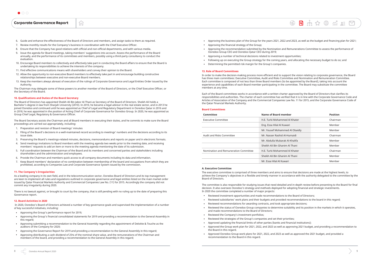- 6. Guide and enhance the effectiveness of the Board of Directors and members, and assign tasks to them as required.
- 7. Review monthly results for the Company's business in coordination with the Chief Executive Officer.
- 8. Ensure that the Company has good relations with official and non-official departments, and with various media.

介

- 9. Issue the agenda for Board meetings, taking members' suggestions into account. Assess the performance of the Board annually, and the performance of its committees and members, possibly using a third-party consultancy to conduct the evaluation.
- 10. Encourage Board members to collectively and effectively take part in conducting the Board affairs to ensure that the Board is undertaking its responsibilities to achieve the interests of the company.
- 11. Find effective communications means with shareholders and convey their opinion to the Board.
- 12. Allow the opportunity to non-executive Board members to effectively take part in and encourage building constructive relationships between executive and non-executive Board members.
- 13. Keep the members always abreast of execution of the rulings of Corporate Governance and Legal Entities Order issued by the Authority.

The Chairman may delegate some of these powers to another member of the Board of Directors, or the Chief Executive Officer, or the Secretary of the Board.

#### **10. Qualifications and Duties of the Board Secretary**

The Board of Directors has appointed Sheikh Ali Bin Jabor Al-Thani as Secretary of the Board of Directors. Sheikh Ali holds a Bachelor's degree in law from Sharjah University (2010). In 2010, he became a legal advisor in the real estate sector, and in 2013 he joined Ooredoo and continued until he was appointed as Chief of Legal and Regulatory Department in Ooredoo Qatar in 2016 and in 2018, he was appointed in the position of Acting Chief of Corporate Governance for Ooredoo Group. In 2020, he was appointed as Group Chief Legal, Regulatory & Governance Officer.

The Board Secretary assists the Chairman and all Board members in executing their duties, and he commits to make sure the Board proceedings are carried out appropriately, including:

- 1. Preparation and revision of Board meetings' minutes
- 2. Filing of the Board's decisions in a well-maintained record according to meetings' numbers and the decisions according to its issue date.
- 3. Preserving the Board's meetings-related minutes, decisions, memorandums and reports on paper and in electronic formats.
- 4. Send meetings invitations to Board members with the meeting agenda two weeks prior to the meeting date, and receiving members' requests to add an item or more to the meeting agenda mentioning the date of its submission.
- 5. Full coordination between the Chairman of the Board and its members and concerned parties and stakeholders including shareholders and the administration and employees.
- 6. Provide the Chairman and members quick access to all company documents including its data and information.
- 7. Keep Board members' declaration of no combination between membership of the board and occupations from which they are prohibited, according to Companies Law and Corporate Governance System issued by the commission.

#### **11. The Company's Irregularities**

As a leading company in its own field, and in the telecommunication sector, Ooredoo Board of Directors and its top management are keen to implement all rules and regulations outlined in corporate governance and legal entities listed on the main market order issued by Qatar Financial Markets Authority and Commercial Companies Law No. (11) for 2015. Accordingly the company did not commit any irregularity during 2020.

There is no lawsuit against, or brought to court by the company, that is still pending with no ruling up to the date of preparing this Governance report.

#### **12. Board Activities in 2020**

 In 2020, Ooredoo's Board of Directors achieved a number of key governance goals and supervised the implementation of a number of key successful initiatives, including:

- **●** Approving the Group's performance report for 2019;
- **●** Approving the Group's financial consolidated statements for 2019 and providing a recommendation to the General Assembly in this regard;
- **●** Approving submitting a recommendation to the General Assembly regarding the appointment of Deloitte & Touche as the auditors of the Company for 2020;
- **●** Approving the Governance Report for 2019 and providing a recommendation to the General Assembly in this regard;
- **●** Approving distributing a cash dividend of 25% of the nominal share value, and the remunerations of the Chairman and members of the board, and providing a recommendation to the General Assembly in this regard;

**●** Approving the business plan of the Group for the years 2021, 2022 and 2023, as well as the budget and financing plan for 2021;

 $\circledR$ 

- 
- **●** Approving the financial strategy of the Group;
- **●** Approving the recommendation submitted by the Nomination and Remunerations Committee to assess the performance of Ooredoo Group CEO and Ooredoo Qatar CEO during 2019;
- **●** Approving a number of technical decisions related to investment opportunities;
- **●** Following up on executing the Group strategy for the coming years, and allocating the necessary budget to do so; and
- **●** Determining the permitted risk margin for the Group's companies.

#### **13. Role of Board Committees**

In order to make the decision-making process more efficient and to support the vision relating to corporate governance, the Board has three main committees: Executive Committee, Audit and Risks Committee and Nomination and Remuneration Committee. Each committee is composed of not less than three Board members (to be appointed by the Board), taking into account the experience and capabilities of each Board member participating in the committee. The Board may substitute the committee members at any time.

Each of the Board committees works in accordance with a written charter approved by the Board of Directors that clarifies its responsibilities and authorities. The charter of each committee has verified that it is in line with the Corporate Governance Code and Articles of Association of the Company and the Commercial Companies Law No. 11 for 2015, and the Corporate Governance Code of the Qatar Financial Markets Authority.

#### **Board Committees**

| Committee                             | Name of Board member           | <b>Position</b> |
|---------------------------------------|--------------------------------|-----------------|
| <b>Executive Committee</b>            | H.E. Turki Mohammed Al Khater  | Chairman        |
|                                       | Eng. Essa Hilal Al Kuwari      | Member          |
|                                       | Mr. Yousef Mohammed Al Obaidly | Member          |
| Audit and Risks Committee             | Mr. Nasser Rashid Al-Humaidi   | Chairman        |
|                                       | Mr. Abdulla Mubarak Al-Khalifa | Member          |
|                                       | Sheikh Ali Bin Ghanim Al Thani | Member          |
| Nomination and Remuneration Committee | H.E. Turki Mohammed Al Khater  | Chairman        |
|                                       | Sheikh Ali Bin Ghanim Al Thani | Member          |
|                                       | Mr. Essa Hilal Al Kuwari       | Member          |

#### **A. Executive Committee**

The executive committee is comprised of three members and aims to ensure that decisions are made at the highest levels, to achieve the Company's objectives in a flexible and timely manner in accordance with the authority delegated to the committee by the Board of Directors.

The committee is also responsible for studying issues that need detailed and in-depth review before presenting to the Board for final decision. It also oversees Ooredoo's strategy and methods deployed for adopting financial and strategic investments. In 2020 the committee completed a number of major projects:

**●** Reviewed subsidiaries' work plans and their budgets and provided recommendations to the board in this regard;

- **●** Reviewed investment opportunities and made recommendations to the Board of Directors;
- 
- **●** Reviewed recommendations for awarding contracts, and took appropriate decisions;
- **●** Reviewed the status of Ooredoo Group companies to determine suitability and its position in the markets in which it operates, and made recommendations to the Board of Directors;
- **●** Reviewed the Company's investment portfolios;
- **●** Reviewed the strategies of the Group's companies and set their priorities;
- **●** Approved updating the financial limits of other parties (banks and financial institutions); **●** Approved the Group work plan for 2021, 2022, and 2023 as well as approving 2021 budget, and providing a recommendation to the Board in this regard.
- **●** Approved Ooredoo Group work plans for 2021, 2022, and 2023 as well as approved the 2021 budget, and provided a recommendation to the Board in this regard.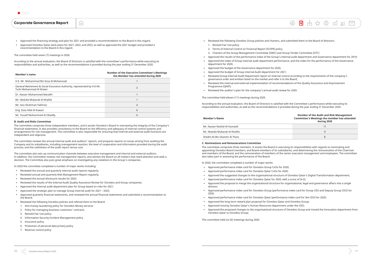**●** Approved the financing strategy and plan for 2021 and provided a recommendation to the Board in this regard.

**n** 

**●** Approved Ooredoo Qatar work plans for 2021, 2022, and 2023, as well as approved the 2021 budget and provided a recommendation to the Board in this regard.

The committee held seven (7) meetings in 2020.

According to the annual evaluation, the Board of Directors is satisfied with the committee's performance while executing its responsibilities and authorities, as well as the recommendations it provided during the year ending 31 December 2020.

| <b>Member's name</b>                                                                                | <b>Number of the Executive Committee's Meetings</b><br>the Member has attended during 2020 |  |  |
|-----------------------------------------------------------------------------------------------------|--------------------------------------------------------------------------------------------|--|--|
| H.E. Mr. Mohammed Bin Essa Al Mohannadi                                                             |                                                                                            |  |  |
| General Retirement & Social Insurance Authority, represented by H.E Mr.<br>Turki Mohammed Al Khater | 3                                                                                          |  |  |
| Dr. Nasser Mohammed Marafih                                                                         |                                                                                            |  |  |
| Mr. Abdulla Mubarak Al-Khalifa                                                                      |                                                                                            |  |  |
| Mr. Aziz Aluthman Fakhroo                                                                           | 4                                                                                          |  |  |
| Eng. Essa Hilal Al Kuwari                                                                           | 6                                                                                          |  |  |
| Mr. Yousef Mohammed Al Obaidly                                                                      | 6                                                                                          |  |  |

#### **B. Audit and Risks Committee**

The committee comprises three independent members, and it assists Ooredoo's Board in overseeing the integrity of the Company's financial statements. It also provides consultancy to the Board on the efficiency and adequacy of internal control systems and arrangements for risk management. The committee is also responsible for ensuring that internal and external audit functions are independent and objective.

The committee reviews the annual internal audit and auditors' reports, and prepares reports on issues arising from auditing the Company and its subsidiaries, including management reaction; the level of cooperation and information provided during the audit process; and the usefulness of the audit report versus cost.

The committee also sets up communication channels between executive management and internal and external auditors. In addition, the Committee reviews risk management reports, and advises the Board on all matters that need attention and seek a decision. The Committee also puts great emphasis on investigating any violations in the Group's companies.

In 2020 the committee completed a number of major works including:

- **●** Reviewed the annual and quarterly internal audit reports regularly;
- **●** Reviewed annual and quarterly Risk Management Report regularly;
- **●** Reviewed the annual disclosure results for 2020;
- **●** Reviewed the results of the Internal Audit Quality Assurance Review for Ooredoo and Group companies;
- **●** Approved the internal audit department plan for Group based on risks for 2021;
- **●** Approved the strategic plan to manage Group internal audit for 2021 2023;
- **●** Approved quarterly financial statements, and reviewed the annual financial statements and submitted a recommendation to the Board;
- **●** Reviewed the following Ooredoo policies and refered them to the Board:
- 1. Anti-money laundering policy for Ooredoo Money services
- 2. Policy for managing business customers' contracts
- 3. Revised Fair Use policy
- 4. Information Security Incident Management policy
- 5. Insurance policy
- 6. Protection of personal data privacy policy
- 7. Revenue control policy
- **●** Reviewed the following Ooredoo Group policies and charters, and submitted them to the Board of directors: 1. Revised Fair Use policy
- 2. Terms of Internal Control on Financial Report (ICOFR) policy
- 3. Charters of the Group Management Committee (GMC) and Group Tender Committee (GTC)
- **●** Approved the results of the performance index of the Group's internal audit department and Governance department for 2019;
- **●** Approved the index of Group internal audit department performance, and the index for the performance of the Governance department for 2020;
- **●** Approved the budget of the Governance department for 2020;
- **●** Approved the budget of Group internal Audit department for 2021;
- **●** Reviewed Group Internal Audit Department report on internal control according to the requirements of the company's governance order and entities listed on the market and refer it to the Board;
- **●** Reviewed the internal and external implementation of recommendations of the Quality Assurance and Improvement Programme (QAIP);
- **●** Reviewed the auditor's plan for the company's annual audit review for 2020.

The committee held eleven (11) meetings during 2020.

According to the annual evaluation, the Board of Directors is satisfied with the Committee's performance while executing its responsibilities and authorities, as well as the recommendations it provided during the year ending 31 December 2020.

#### **Member's Name**

#### **Number of the Audit and Risk Management Committee's Meetings the member has attended during 2020**

| Mr. Nasser Rashid Al-Humaidi   |  |
|--------------------------------|--|
| Mr. Abdulla Mubarak Al-Khalifa |  |
| Sheikh Ali Bin Ghanim Al Thani |  |

#### **C. Nominations and Remunerations Committee**

The committee comprises three members. It assists the Board in executing its responsibilities with regards to nominating and appointing Ooredoo Board members, and Board members of its subsidiaries, and determining the remuneration of the Chairman and members of the Board, and the remuneration of members of the senior executive management and employees. The committee also takes part in assessing the performance of the Board.

In 2020, the committee completed a number of major works:

- **●** Approved performance index card for Ooredoo Group CxOs for 2020;
- **●** Approved performance index card for Ooredoo Qatar CxOs for 2020;
- **●** Approved the suggested changes to the organisational structure of Ooredoo Qatar's Digital Transformation department;
- **●** Approved performance index card for Ooredoo Qatar for 2020, with a score of (4.2);
- **●** Approved the proposal to merge the organisational structure for organisational, legal and governance affairs into a single division;
- **●** Approved performance index card for Ooredoo Group (performance index card for Group CEO and Deputy Group CEO) for 2020;
- **●** Approved performance index card for Ooredoo Qatar (performance index card for the CEO) for 2020;
- **●** Approved the long term reward plan proposal for Ooredoo Qatar and Ooredoo Group;
- **●** Approved moving Ooredoo Qatar's Human Resources department under the CEO;
- **●** Approved the proposed changes to the organisational structure of Ooredoo Group and moved the Innovation department from Ooredoo Qatar to Ooredoo Group;

The committee held six (6) meetings during 2020.

 $\circledR$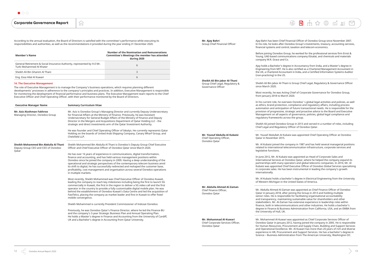旬

According to the annual evaluation, the Board of Directors is satisfied with the committee's performance while executing its responsibilities and authorities, as well as the recommendations it provided during the year ending 31 December 2020.

| <b>Member's Name</b>                                                                                | <b>Number of the Nomination and Remunerations</b><br><b>Committee's Meetings the member has attended</b><br>during 2020 |
|-----------------------------------------------------------------------------------------------------|-------------------------------------------------------------------------------------------------------------------------|
| General Retirement & Social Insurance Authority, represented by H.E Mr.<br>Turki Mohammed Al Khater | 6                                                                                                                       |
| Sheikh Ali Bin Ghanim Al Thani                                                                      |                                                                                                                         |
| Eng. Essa Hilal Al Kuwari                                                                           | 6                                                                                                                       |

#### **14. The Executive Management**

The role of Executive Management is to manage the Company's business operations, which requires planning different developments' processes in adherence to the company's principles and practices. In addition, Executive Management is responsible for monitoring the development of financial performance and business plans. The Executive Management team reports to the Chief Executive Officer and Chief Operating Officer, with their performance monitored by the Board of Directors.

| <b>Executive Manager Name</b>                                                        | <b>Summary Curriculum Vitae</b>                                                                                                                                                                                                                                                                                                                                                                                                                                                                                                                                                                                  |  |
|--------------------------------------------------------------------------------------|------------------------------------------------------------------------------------------------------------------------------------------------------------------------------------------------------------------------------------------------------------------------------------------------------------------------------------------------------------------------------------------------------------------------------------------------------------------------------------------------------------------------------------------------------------------------------------------------------------------|--|
| Mr. Aziz Aluthman Fakhroo<br>Managing Director, Ooredoo Group                        | Mr. Aziz is Ooredoo Group's Managing Director and currently Deputy Undersecretary<br>for Financial Affairs at the Ministry of Finance. Previously, he was Assistant<br>Undersecretary for General Budget Affairs of the Ministry of Finance and Deputy<br>Director in the Mergers and Acquisitions Department of Qatar Holding LLC - the<br>strategic and direct investments arm of the Qatar Investment Authority.<br>He was founder and Chief Operating Officer of Idealys. He currently represents Qatar<br>Holding on the boards of United Arab Shipping Company, Canary Wharf Group, and<br>Chelsfield LLP. |  |
|                                                                                      |                                                                                                                                                                                                                                                                                                                                                                                                                                                                                                                                                                                                                  |  |
| Sheikh Mohammed Bin Abdulla Al Thani<br>Deputy Group CEO and CEO of Ooredoo<br>Qatar | Sheikh Mohammed Bin Abdulla Al Thani is Ooredoo's Deputy Group Chief Executive<br>Officer and Chief Executive Officer of Ooredoo Qatar since March 2020.                                                                                                                                                                                                                                                                                                                                                                                                                                                         |  |
|                                                                                      | He has over 16 years of experience in communications, digital transformation,<br>finance and accounting, and has held various management positions within<br>Ooredoo since he joined the company in 2009. Having a deep understanding of the<br>operational and strategic perspectives of the contemporary telecom business amid<br>its shift to digital, he has successfully redirected and reshaped the customer base,<br>profitability, cost management and organisation across several Ooredoo operations<br>in multiple markets.                                                                            |  |
|                                                                                      | Most recently, Sheikh Mohammed was Chief Executive Officer of Ooredoo Kuwait,<br>leading the company to reach key milestones including being the first to launch 5G<br>commercially in Kuwait, the first in the region to deliver a 5G video call and the first<br>operator in the country to provide a fully customisable digital mobile plan. He was<br>behind the establishment of Ooredoo Kuwait's Data Centre and led the acquisition of<br>FastTelco, placing the company as market leader and first in Kuwait to offer fixed-<br>mobile convergence.                                                      |  |
|                                                                                      | Sheikh Mohammed is currently President Commissioner of Indosat Ooredoo.                                                                                                                                                                                                                                                                                                                                                                                                                                                                                                                                          |  |
|                                                                                      | Previously, he was Ooredoo Qatar's Finance Director, where he led the Finance BU<br>and the company's 3-year Strategic Business Plan and Annual Operating Plan.<br>He holds a Master's degree in Finance and Accounting from the University of Cardiff,<br>UK and a Bachelor's degree in Accounting from Qatar University.                                                                                                                                                                                                                                                                                       |  |
|                                                                                      |                                                                                                                                                                                                                                                                                                                                                                                                                                                                                                                                                                                                                  |  |

**Mr. Ajay Bahri** Group Chief Financial Officer Ajay Bahri has been Chief Financial Officer of Ooredoo Group since November 2007. In his role, he looks after Ooredoo Group's investments, treasury, accounting services, financial systems and control, taxation and telecom economics.

Before joining Ooredoo Group, he worked for the professional services firm Ernst & Young, UAE-based communications company Etisalat, and chemicals and materials company W.R. Grace and Co.

Ajay holds a Bachelor's degree in Accountancy from India, and a Master's degree in Engineering from MIT. He is also certified as a Chartered Management Accountant in the UK, a Chartered Accountant in India, and a Certified Information Systems Auditor (non-practicing) in the US.

**Sheikh Ali Bin Jabor Al-Thani** Group Chief Legal, Regulatory &

Governance Officer

Sheikh Ali Bin Jabor Al-Thani is Group Chief Legal, Regulatory & Governance Officer

 $\circledR$ 

since March 2020.

Most recently, he was Acting Chief of Corporate Governance for Ooredoo Group, from January 2018 to March 2020.

In his current role, he oversees Ooredoo' s global legal activities and policies, as well as ethics, brand protection, compliance and regulatory affairs, including process automation and anticipation of future transactional needs. He is responsible for the provision of progressive, strategic and proactive advice to the Board and Executive Management on all aspects of governance, policies, global legal compliance and regulatory frameworks across the group.

Sheikh Ali joined Ooredoo Group in 2013 and served in a number of roles, including Chief Legal and Regulatory Officer of Ooredoo Qatar.

**Mr. Yousuf Abdulla Al Kubaisi** Chief Operating Officer, Ooredoo Qatar

Mr. Yousef Abdullah Al Kubaisi was appointed Chief Operating Officer at Ooredoo Qatar in November 2015.

Mr. Al Kubaisi joined the company in 1987 and has held several managerial positions related to international telecommunication infrastructure, corporate services and

legislative functions.

In June 2012, Mr. Al Kubaisi was appointed as Head of Corporate Sales and International Services at Ooredoo Qatar, where he helped the company expand its partnerships with many operators and global telecoms companies. In 2014, Mr. Al Kubaisi was appointed Chief Executive Officer of Ooredoo Global Services specialising in corporate sales. He has been instrumental in leading the company's growth

internationally.

Mr. Al Kubaisi holds a bachelor's degree in Electrical Engineering from the University of Western Michigan in the United States of America.

**Mr. Abdulla Ahmed Al-Zaman**

Chief Finance Officer, Ooredoo Qatar

Mr. Abdulla Ahmed Al-Zaman was appointed as Chief Finance Officer of Ooredoo Qatar in January 2018, after joining the Group in 2013 and holding multiple senior roles. He is responsible for facilitating organisational accountability and transparency, maintaining sustainable value for shareholders and other stakeholders. Mr. Al-Zaman has extensive experience in leadership roles within finance, both in telecommunications and other industries. He holds a bachelor's degree in Finance & Business Administration from California, USA, and an EMBA from the University of Hull, UK.

**Mr. Mohammad Al-Kuwari** Chief Corporate Services Officer,

Ooredoo Qatar

Mr. Mohammed Al-Kuwari was appointed as Chief Corporate Services Officer of Ooredoo Qatar in January 2012, having joined the company in 2005. He is responsible for Human Resources, Procurement and Supply Chain, Building and Support Services and Operational Excellence. Mr. Al-Kuwari has more than 20 years of rich and diverse experience in HR, Procurement and Support Services. He has a bachelor's degree in Science – Business Administration from The American University, Washington DC.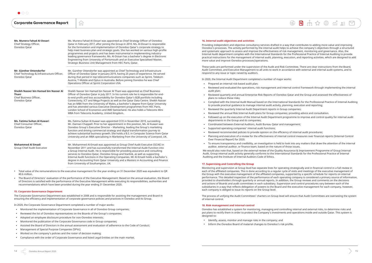|  | <b>Corporate Governance Report</b> |  |
|--|------------------------------------|--|
|--|------------------------------------|--|

| Ms. Munera Fahad Al-Dosari<br>Chief Strategy Officer,<br>Ooredoo Qatar                            | Ms. Munera Fahad Al-Dosari was appointed as Chief Strategy Officer of Ooredoo<br>Qatar in February 2017, after joining the Group in 2010. Ms. Al-Dosari is responsible<br>for the formulation and implementation of Ooredoo Qatar's corporate strategy to<br>help meet business plan and strategic goals. She has worked on various high-profile<br>programmes and projects and has been instrumental in implementing industry-<br>leading governance frameworks. Ms. Al-Dosari has a bachelor's degree in Electronic<br>Engineering from University of Portsmouth and an Executive Specialised Master,<br>Strategic Business Unit Management from HEC Paris, Qatar. |  |  |
|---------------------------------------------------------------------------------------------------|----------------------------------------------------------------------------------------------------------------------------------------------------------------------------------------------------------------------------------------------------------------------------------------------------------------------------------------------------------------------------------------------------------------------------------------------------------------------------------------------------------------------------------------------------------------------------------------------------------------------------------------------------------------------|--|--|
| Mr. Günther Ottendorfer<br>Chief Technology & Infrastructure Officer,<br>Ooredoo Qatar            | Mr. Günther Ottendorfer was appointed as Chief Technology and Infrastructure<br>Officer of Ooredoo Qatar in January 2019, having 25 years of experience. He served<br>during that period in top telecommunications companies such as Sprint, Telekom<br>Austria, T-Mobile and Optus in Australia. Before joining Ooredoo he was Chief<br>Operations Officer at Sprint Corporation USA.                                                                                                                                                                                                                                                                               |  |  |
| Sheikh Nasser bin Hamad bin Nasser Al<br><b>Thani</b><br>Chief Business Officer,<br>Ooredoo Qatar | Sheikh Nasser bin Hamad bin Nasser Al Thani was appointed as Chief Business<br>Officer of Ooredoo Qatar in July 2017. In his current role he is responsible for end-<br>to-end profit and loss accountability for Ooredoo Qatar's B2B portfolio including<br>Connectivity, ICT and Mega Projects as well as the Qatar Data Centre. Sheikh Nasser<br>has an MBA from the University of Wales, a bachelor's degree from Qatar University<br>and has attended various Executive Development programmes from HEC Paris,<br>London School of Economics and IMD Switzerland. He also holds a Telecoms Mini<br>MBA from Telecoms Academy, United Kingdom.                   |  |  |
| Ms. Fatima Sultan Al Kuwari<br>Chief Consumer Officer,<br>Ooredoo Qatar                           | Ms. Fatima Sultan Al Kuwari was appointed CCO in November 2019, succeeding<br>Mr. Damian Chappell. Prior to her appointment in this position, Ms. Al Kuwari was<br>Ooredoo Group's Executive Director - Marketing, leading the Group's marketing<br>function and driving commercial strategy and digital transformation journey to<br>achieve substantial business growth. She holds a B.S. in Computer Science from Qatar<br>University and an MBA specialising in Marketing from the University of Liverpool, UK.                                                                                                                                                  |  |  |
| <b>Mohammed Al Emadi</b><br>Group Chief Audit Executive                                           | Mr. Mohammed Al-Emadi was appointed as Group Chief Audit Executive (GCAE) in<br>November 2011 and has successfully transformed the Internal Audit Function into<br>a Group Internal Audit. He is responsible for providing assurance and consulting<br>services to Ooredoo Qatar, Ooredoo Group and Starlink, as well as supporting<br>Internal Audit functions in the Operating Companies. Mr Al-Emadi holds a bachelor's<br>degree in Accounting from Qatar University and a Masters in Accounting and Finance<br>from University of Southampton, UK.                                                                                                              |  |  |

**TU** 

- **●** Total value of the remunerations to the executive management for the year ending on 31 December 2020 was equivalent to QR 40.6 million.
- **●** The Board of Directors' evaluation of the performance of the Executive Management: Based on the annual evaluation, the Board of Directors is satisfied with the performance of the Executive Management while executing its responsibilities, authorities and recommendations which have been provided during the year ending 31 December 2020.

#### **15. Corporate Governance Department**

The Corporate Governance Department was established in 2008 and is responsible for assisting the management and Board in ensuring the efficiency and implementation of corporate governance policies and practices in Ooredoo and its Group.

In 2020, the Corporate Governance Department completed a number of major works:

- **●** Monitored the implementation of Corporate Governance in all of Ooredoo Group companies;
- **●** Reviewed the list of Ooredoo representatives on the Boards of the Group's companies;
- **●** Adopted an employee disclosure procedure for non-Ooredoo interests;
- **●** Monitored the publication of the Corporate Governance code in Group companies;
- **●** Assisted the Board of Directors in the annual assessment and evaluation of adherence to the Code of Conduct;
- **●** Management of Special Purpose Companies (SPVs);
- **●** Worked on the company's policies and the roster of decision making;
- **●** Compliance with the order of Corporate Governance and listed Legal Entities on the main market.

Ooredoo has established a system for monitoring, managing and controlling internal and external risks, to determine risks and put plans to rectify them in order to protect the Company's investments and operations inside and outside Qatar. This system is designed to:

#### **16. Internal audit objectives and activities**

Providing independent and objective consultancy services drafted in a way that contributes to adding more value and improving Ooredoo's processes. The activity performed by the internal audit helps to achieve the company's objectives through a structured and systematic approach to assess and improve the effectiveness of risk management, monitoring and governance. Also, the Internal Audit department complies with the International Standards for the Professional Practice of Internal Auditing to provide practical instructions for the management of internal audit, planning, execution, and reporting activities, which are designed to add more value and improve Ooredoo processes/operations.

These tasks are performed under the supervision of the Audit and Risk Committee. There are clear instructions from the Board, Audit Committee, and Executive Management to all units to work in accordance with external and internal audit systems, and to respond to any issue or topic raised by auditors.

In 2020, the Internal Audit Department completed a number of major works:

**●** Complied with the Internal Audit Manual based on the International Standards for the Professional Practice of Internal Auditing

- **●** Prepared an internal risk-based audit plan;
- **●** Reviewed and evaluated the operations, risk management and internal control framework through implementing the internal audit plan;
- **●** Reviewed quarterly and annual Enterprise Risk Reports of Ooredoo Qatar and the Group and assessed the effectiveness of plans to reduce these risks;
- to provide practical guidance to manage internal audit activity, planning, execution and reporting;
- **●** Reviewed the quarterly Internal Audit Department reports in Group companies;
- **●** Reviewed the annual Risk Internal Audit plans for Group companies; providing advice and consultation.
- **●** Followed up on the execution of the Internal Audit Department programme to improve and control quality for internal audit departments in the Group and its companies;
- **●** Coordinated between External Auditors, Audit Bureau Qatar and management;
- **●** Supported operating companies' internal audit functions;
- **●** Reviewed recommended policies to provide opinion on the efficiency of internal audit procedures;
- **●** Planning and execution of a review for the effectiveness of internal control measures over financial reports (Internal Control Over Financial Report) for 2020.
- **●** To ensure transparency and credibility, an investigation is held to look into any matters that draw the attention of the internal auditor, external auditor, or finance team, based on the nature of those issues.

We would also note that, based on the external review of the Quality Assurance & Improvement Programme of Group Internal Audit, Group internal audit activity generally conforms to the International Standards for the Professional Practice of Internal Auditing and the Institute of Internal Auditors Code of Ethics.

#### **17. Supervising and Controlling the Group**

Monitoring and supervision at Group level has separate lines for operating strategically and in financial control in a full review in each of the affiliated companies. This is done according to a regular cycle of visits and meetings of the executive management of the Group with the executive management of the affiliated companies, supported by a specific schedule for reports on internal performance. This detailed inspection of the performance of each operating company is considered a primary source of information, provided to shareholders through quarterly or annual reports. In addition, the Group reviews and comments on the decisions and actions of Boards and audit committees in each subsidiary. Supervision and control procedures vary between each of the subsidiaries in a way that reflects delegation of powers to the Board and the executive management for each company, however, each company is obliged to issue its reports on the Group level.

The process of unifying the Audit Committees' charters on Group level will ensure that Audit Committees are overseeing the system of internal control.

#### **18. Risk management and internal control**

- **●** Identify, assess, monitor and manage risks in the company; and
- **●** Inform the Ooredoo Board of material changes to Ooredoo's risk profile.

 $\circledR$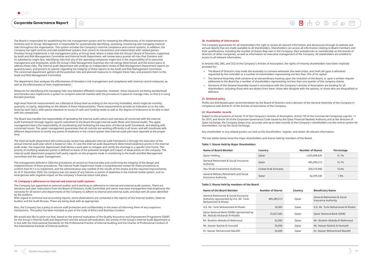**n** 

The Board is responsible for establishing the risk management system and for reviewing the effectiveness of its implementation in Ooredoo and its Group. Management is responsible for systematically identifying, assessing, monitoring and managing material risks throughout the organisation. This system includes the Company's internal compliance and control systems. In addition, the Company has tight controls and well-established systems that control its transactions and relationships with related parties. Ooredoo Group implements a risk management policy at Group level, where it states that the Group's Board of Directors, supported by Audit and Risk Management Committee and Internal Audit Department, will review every quarter all risks that Ooredoo and its subsidiaries might face. Identifying risks that any of the operating companies might face is the responsibility of its executive management and employees, while the Group's Risk Management examines the risk ratings determined, and the action plans to address these risks. The internal audit department will undergo an independent review of Risk Management Department reports on quarterly basis, and present its opinion regarding the integrity of these reports to the Audit and Risk Management committee. The concerned department gathers all the potential risks and planned measures to mitigate these risks, and presents them to the Audit and Risk Management Committee.

The department then analyses the effectiveness of Ooredoo's risk management and compliance with internal control measures, as well as the effectiveness of their implementation.

Measures for identifying and managing risks vary between affiliated companies. However, these measures are being standardised and Ooredoo also implements a system to compare external markets with the procedures in place to manage risks, so that it is using the best practices.

High-level financial measurements are collected at Group level according to the recurring timetables, which might be monthly, quarterly, or yearly, depending on the details of these measurements. These measurements provide an indication as to the risks faced by each OpCo, with special attention to issues of cash and funding needs as well as the degree of endurance to be able to deal with the unexpected.

The Board also handles the responsibility of spreading the internal audit culture and oversees all concerned with the internal audit framework through regular reports submitted to the Board through internal audit (Risks and Internal Audit). The upper management bears the responsibility of coordinating and facilitating the execution of internal audit framework, and dealing with concerned issues. The upper management guarantees that all controls are working efficiently in all times, and will coordinate with different departments to rectify any points of weakness in the control system that internal audit jobs have reported at the proper time.

The Internal Audit department will continuously review how adequate internal audit framework is through the execution of the annual internal audit plan which is based on risks. In case the internal audit department determined weakness points in the internal audit order, the respective department shall devise a work plan to mitigate and rectify the shortage in a specific time frame. The priority of rectifying weakness points is defined on basis of the potential strength and impact of weak points on the company. The internal audit department prepares half yearly reports on the progress made in monitoring to the Audit and Risk Management committee and the upper management.

The management defined in 2020 the procedures of control on financial data and confirming the integrity of the design and implementation of these procedures. The internal Audit Department made a comprehensive review for these procedures to confirm how fit it is to implement, and the administration was notified of the results of the review and the required improvements. As of 31 December 2020, the company was not aware of any failures or points of weakness in the internal review system, and no emergencies with negative impact on the company's financial status took place.

#### **19. Company's adherence to internal and external audit systems**

The Company has appointed an external auditor and is working on adherence to internal and external audit systems. There are decisions and clear instructions from the Board of Directors, Audit Committee and senior executive management that emphasise the necessity for all sectors and departments of the Company to adhere to internal and external audit, and deal with all cases identified by the auditors.

With regard to technical and accounting reports, some observations are contained in the reports of the Internal Auditor, External Auditor and the Audit Bureau. These are being dealt with as appropriate.

Also, the Company has a policy to ensure staff protection and confidentiality in the event of informing them of any suspicious transactions. This policy has been included as part of the Code of Ethics and Business Conduct.

We would also like to point out that, based on the external evaluation of the Quality Assurance and Improvement Programme (QAIP) for the Group's Internal Audit and department and the annual self-evaluation, the activity of the Group's Internal Audit department is in line with the International Standards for the Professional Practice of Internal Auditing and the Charter of Professional Conduct of the International Institute of Internal auditors.

#### **20. Availability of information**

The Company guarantees for all shareholders the right to review all relevant information and disclosures through its website and annual reports that are made available to all shareholders. Shareholders can access all information relating to Board members and their qualifications, including the number of shares they own in the Company, their presidencies or membership on the boards of directors of other companies, as well as information on executive management of the Company. All stakeholders are entitled to access to all relevant information.

In Articles (45), (48), and (52) of the Company's Articles of Association, the rights of minority shareholders have been implicitly provided for:

- **●** The Board of Directors may invite the Assembly to convene whenever the need arises, and shall call upon it whenever requested by the controller or a number of shareholders representing not less than 10% of its capital.
- **●** The General Assembly shall convene at an extraordinary meeting upon the invitation of the Board, or upon a written request addressed to the Board by a number of shareholders representing not less than one quarter of the company shares.
- **●** Decisions of the General Assembly issued in accordance with the Company's Articles of Association are binding for all shareholders, including those who are absent from them, those who disagree with the opinion, or those who are disqualified or deficient.

#### **21. Dividend policy**

Profits are distributed upon recommendation by the Board of Directors and a decision of the General Assembly of the Company in compliance with Article 61 of the Articles of Association of the Company.

#### **22. Shareholder records**

Subject to the provisions of Article 10 of the Company's Articles of Association, Article 159 of the Commercial Companies Law No. 11 for 2015, and Article 30 of the Corporate Governance Code issued by the Qatar Financial Markets Authority and at the direction of Qatar Exchange, the Company keeps true, accurate, and up-to-date records of the Company's shareholders via the central system for shareholders, run by the Stock Exchange.

Any shareholder or any related parties can look at the shareholders' register, and obtain all relevant information.

The two tables below show the major shareholders and shares held by members of the Board.

#### **Table 1: Shares Held by Major Shareholders**

| Name of Board Member                                                 | Country                     | <b>Number of Shares</b> | Percentage |
|----------------------------------------------------------------------|-----------------------------|-------------------------|------------|
| Qatar Holding                                                        | Qatar                       | 1,655,808,420           | 51.7%      |
| General Retirement & Social Insurance<br>Authority                   | Qatar                       | 405,289,213             | 12.7%      |
| Abu Dhabi Investment Authority                                       | <b>United Arab Emirates</b> | 320,319,940             | 10.0%      |
| General Military Retirement and Social<br><b>Insurance Authority</b> | Qatar                       | 62,299,336              | 1.9%       |

#### **Table 2: Shares held by members of the Board**

| <b>Name of the Board Member</b>                                                                        | <b>Number of Shares</b> | Country | <b>Beneficiary Name</b>                                              |
|--------------------------------------------------------------------------------------------------------|-------------------------|---------|----------------------------------------------------------------------|
| General Retirement & Social Insurance<br>Authority represented by H.E. Mr. Turki<br>Mohammed Al Khater | 405,289,213             | Qatar   | <b>General Retirement &amp; Social</b><br><b>Insurance Authority</b> |
| H.E. Mr. Turki Mohammed Al Khater                                                                      | 50,000                  | Qatar   | H.E. Mr. Turki Mohammed Al Khater                                    |
| Qatar National Bank (QNB) represented by<br>Mr. Abdulla Mubarak Al-Khalifa                             | 25,027,600              | Oatar   | <b>Qatar National Bank (ONB)</b>                                     |
| Mr. Ibrahim Abdulla Al Mahmoud                                                                         | 62,000                  | Oatar   | Mr. Ibrahim Abdulla Al Mahmoud                                       |
| Mr. Nasser Rashid Al Humaidi                                                                           | 50,000                  | Qatar   | Mr. Nasser Rashid Al Humaidi                                         |
| Dr. Nasser Mohammed Marafih                                                                            | 32,000                  | Qatar   | Dr. Nasser Mohammed Marafih                                          |

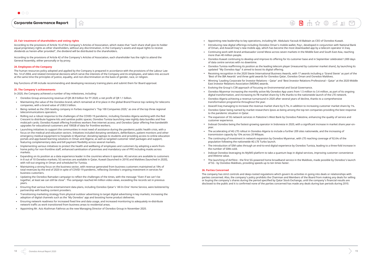$\circledR$ 



Corporate Governance Report

#### **23. Fair treatment of shareholders and voting rights**

According to the provisions of Article 16 of the Company's Articles of Association, which states that "each share shall give its holder equal proprietary rights as other shareholders, without any discrimination, in the Company's assets and equal rights to receive dividends as herein-after provided", the dividend will be distributed to the shareholders.

According to the provisions of Article 42 of the Company's Articles of Association, each shareholder has the right to attend the General Assembly, either personally or by proxy.

**n** 

#### **24. Employees of the Company**

The human resources policy adopted and applied by the Company is prepared in accordance with the provisions of the Labour Law No. 14 of 2004, and related ministerial decisions which serve the interests of the Company and its employees, and takes into account at the same time the principles of justice, equality, and non-discrimination on the basis of gender, race, or religion.

Key functions of HR include recommending and developing necessary training plans and submit them for Board approval.

#### **25. The Company's achievements**

In 2020, the Company achieved a number of key milestones, including:

- **●** Ooredoo Group announcing revenue of QR 28.9 billion for FY 2020; a net profit of QR 1.1 billion.
- **●** Maintaining the value of the Ooredoo brand, which remained at 41st place in the global Brand Finance top ranking for telecoms companies, with a brand value of US\$3.5 billion.
- **●** Being ranked as the 25th leading company in Forbes magazine's 'Top 100 Companies 2020,' as one of the top three regional telecommunications operators.
- **●** Rolling out a robust response to the challenges of the COVID-19 pandemic, including Ooredoo Algeria working with the Red Crescent to distribute hygiene kits and sanitise public spaces; Ooredoo Tunisia launching new nightly data bundles and free mobicash cards; Ooredoo Kuwait offering frontlines workers free internet access; and Ooredoo Qatar offering free bandwidth upgrades for educational customers and 100GB of data for frontline workers.
- **●** Launching initiatives to support the communities in most need of assistance during the pandemic public health crisis, with a focus on the medical and education sectors. Initiatives included donating ventilators, defibrillators, patient monitors and other emergency medical equipment to hospitals in Myanmar; donating laptops to students and providing access to online education portals and app-based learning solutions in Oman and Algeria; as well as targeted customer relief packages and support, featuring complementary data and bill payment flexibility across several markets.
- **●** Implementing various initiatives to protect the health and wellbeing of employees and customers by adopting a work-fromhome policy for non-frontline staff, enhanced sanitisation of premises and mandatory use of PPE including masks across markets.
- **●** Expanding on its position as a data experience leader in the countries where it operates. 4G services are available to customers in 8 out of 10 Ooredoo markets; 5G services are available in Qatar, Kuwait (launched in 2019) and Maldives (launched in 2020), with roll-out ongoing in Oman and scheduled for Tunisia.
- **●** Maintaining a strong focus on the business sector, with revenue generated from business customers maintained at 18% of total revenues by the end of 2020 in spite of COVID-19 pandemic, reflecting Ooredoo's ongoing investment in services for business customers.
- **●** Updating the Ooredoo Ramadan campaign to reflect the challenges of the times, with the message "Even if we can't be together, at least we can still be close". The campaign reached 44 million video views, exceeding the records set in previous years.
- **●** Ensuring that various home entertainment data plans, including Ooredoo Qatar's 'All-In-One' Home Service, were bolstered by partnership with leading content providers.
- **●** Transitioning marketing strategy from physical outdoor advertising to target digital advertising in key markets; increasing the adoption of digital channels such as the 'My Ooredoo' app and boosting home product deliveries.
- **●** Ensuring network readiness for increased fixed line and data usage, and increased monitoring to adequately re-distribute network traffic as work transitioned from business areas to residential areas.
- **●** Appointing Mr. Aziz Aluthman Fakhroo as the new Managing Director of Ooredoo Group in November 2020.

**●** Ooredoo Kuwait continuing to develop and improve its offering for its customer base and in September celebrated 1,000 days

**●** Ooredoo Tunisia reaffirming its position as the leading telecom player (measured by customer market share), by launching its

**●** Receiving recognition in the 2020 Stevie International Business Awards, with 17 awards including a 'Grand Stevie' as part of the

**●** Winning 'Leading Corporate for Investor Relations – Qatar' and 'Best Investor Relations Professional – Qatar' at the 2020 Middle

**●** Ooredoo Myanmar increasing the monthly active My Ooredoo App users from 1.5 million to 3.4 million, as part of its ongoing

- **●** Appointing new leadership to key operations, including Mr. Abdulaziz Yacoub Al-Babtain as CEO of Ooredoo Kuwait.
- **●** Introducing new digital offerings including Ooredoo Oman's mobile wallet, Pay+, developed in conjunction with National Bank of Oman, and Asiacell Iraq's new mobile app, which has become the most downloaded app by a telecom operator in Iraq.
- **●** Continuing work with brand ambassador Lionel Messi across seven markets in the Middle East and South East Asia, reaching more than 40 million people.
- of data centre services with no downtime.
- updated "My Ooredoo App" it aimed to boost its digital offering.
- 'Best of the IBA Awards' and three gold awards for Ooredoo Qatar, Ooredoo Oman and Ooredoo Maldives.
- East Investor Relations Association (MEIRA) awards.
- **●** Evolving the Group's CSR approach of focusing on Environmental and Social Governance.
- digital transformation, and increasing its FB market share by 5.9% thanks to the nationwide launch of the LTE network.
- transformation programme throughout the year.
- 
- to the pandemic situation in Qatar.
- **●** The expansion of 3G network services in Palestine's West Bank by Ooredoo Palestine, enhancing the quality of service and customer experience.
- year.
- **●** The accelerating of 4G LTE rollout in Ooredoo Algeria to include a further 209 sites nationwide, and the increasing of transmission capacity by 10% across 20 Wilayas.
- **●** The continuing of investment in network expansion by Ooredoo Myanmar, with LTE reaching coverage of 92.6% of the population following the nationwide 4G LTE Turbo launch.
- the number of SIMs sold.
- **●** Indosat Ooredoo leveraging its MyIM3 platform to take a quantum leap in digital services, improving customer convenience and lifetime value.
- **●** The launching of AirFibre the first 5G-powered home broadband service in the Maldives, made possible by Ooredoo's launch of 5G - by Ooredoo Maldives, providing speeds up to ten times faster.

**●** Ooredoo Algeria achieving a revenue turnaround in 2020 after several years of decline, thanks to a comprehensive

**●** Asiacell Iraq managing to increase the revenue market share by 0.7%, in addition to increasing customer market share by 1%. **●** Ooredoo Qatar being named by market researchers Ipsos as being among the top ten companies providing the best response

**●** Indosat Ooredoo being the fastest-growing operator in Indonesia in 2020, with a significant increase in market share year-on-

**●** The introduction of SIM sales through an end-to-end digital experience by Ooredoo Tunisia, leading to a three-fold increase in

#### **26. Parties Concerned**

The company has strict controls and deep-rooted regulations which govern its activities in going into deals or relationships with parties concerned. Also, the company's policy prohibits the Chairman and Members of the Board from making any deals for selling or buying the company's shares during the period specified by Qatar Stock Exchange, until the company's financial results are disclosed to the public and it is confirmed none of the parties concerned has made any deals during ban periods during 2010.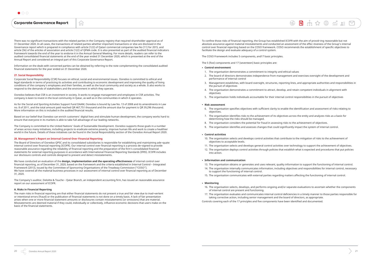介

There was no significant transactions with the related parties in the Company registry that required shareholder approval as of 31 December 2020. In all cases, the transactions of related parties whether important transactions or else are disclosed in the Governance report which is prepared in compliance with article (122) of Qatari commercial companies law No (11) for 2015, and article (56) of the articles of association and article (122) of QFMA code. It is also presented as part of the audited financial indicators framework towards the end of the year to endorse it in the Annual General Meeting. For more details, readers can refer to the audited consolidated financial statements at the end of the year ended 31 December 2020, which is presented at the end of the Annual Report and considered an integral part of this Corporate Governance Report.

Information on the deals with concerned parties can be obtained by referring to the note complementing the consolidated audited financial statements for the year ended on 31 December 2020.

#### **27. Social Responsibility**

Corporate Social Responsibility (CSR) focuses on ethical, social and environmental issues. Ooredoo is committed to ethical and legal standards in terms of practicing its activities and contributing to economic development and improving the quality of living conditions of the company's employees and their families, as well as the local community and society as a whole. It also works to respond to the demands of stakeholders and the environment in which they operate.

Ooredoo believes that CSR is an investment in society. It works to engage management and employees in CSR activities. The company is keen to invest in the local community in Qatar, as well as in the communities in which it operates.

As for the Social and Sporting Activities Support Fund DAAM, Ooredoo is bound by Law No. 13 of 2008 and its amendments in Law no. 8 of 2011, and the total amount paid reached QR 467,751 thousand and the amount due for payment is QR 39,296 thousand. More information on this is included in the audited financial results.

Based on our belief that Ooredoo can enrich customers' digital lives and stimulate human development, the company works hard to ensure that everyone in its markets is able to take full advantage of our leading networks.

To confine those risks of financial reporting, the Group has established ICOFR with the aim of provid¬ing reasonable but not absolute assurance against material misstatements and conducted an assessment of the effec¬tiveness of the Group's internal control over financial reporting based on the COSO framework. COSO recommends the establishment of specific objectives to facilitate the design and evaluate adequacy of a control system.

The Company is committed to the United Nations' Goals of Sustainable Development. Ooredoo supports those goals in a number of areas across many initiatives, including projects to eradicate extreme poverty, improve human life and work to create a healthier world in the future. Details of these initiatives can be found in the Social Responsibility section of the Ooredoo Annual Report 2020.

#### **28. Management's Report on Internal Control Over Financial Reporting**

The Board of Directors of Ooredoo QPSC and its consolidated subsidiaries is responsible for establishing and maintaining ade¬quate internal control over financial reporting (ICOFR). Our internal control over financial reporting is a process de¬signed to provide reasonable assurance regarding the reliability of financial reporting and the preparation of the firm's consolidated financial statements for external reporting purposes in accordance with International Financial Reporting Standards (IFRS). ICOFR includes our disclosure controls and controls designed to prevent and detect misstatements.

We have conducted an evaluation of the **design, implementation and the operating effectiveness** of internal control over financial reporting, as of December 31, 2020, based on the framework and the criteria established in Internal Control – Integrated Framework (2013), issued by the Committee of Sponsoring Organisations of the Treadway Commission ("COSO"). We have covered all the material business processes in our assessment of internal control over financial reporting as of December 31, 2020.

The Company's auditor, Deloitte & Touche – Qatar Branch, an independent accounting firm, has issued an reasonable assurance report on our assessment of ICOFR.

#### **A. Risks in Financial Reporting**

The main risks in financial reporting are that either financial statements do not present a true and fair view due to inad¬vertent or intentional errors (fraud) or the publication of financial statements is not done on a timely basis. A lack of fair presentation arises when one or more financial statement amounts or disclosures contain misstatements (or omissions) that are material. Misstatements are deemed material if they could, individually or collectively, influence economic decisions that users make on the basis of the financial statements.

The COSO Framework includes 5 components, and17 basic principles.

The 5 (five) components and 17 (seventeen) basic principles are:

- **● Control environment**
- 1. The organisation demonstrates a commitment to integrity and ethical values 2. The board of directors demonstrates independence from management and exercises oversight of the development and
- performance of internal control
- 3. Management establishes, with board oversight, structures, reporting lines, and appropriate authorities and responsibilities in the pursuit of objectives
- 4. The organisation demonstrates a commitment to attract, develop, and retain competent individuals in alignment with objectives
- 5. The organisation holds individuals accountable for their internal control responsibilities in the pursuit of objectives

#### **● Risk assessment**

- 6. The organisation specifies objectives with sufficient clarity to enable the identification and assessment of risks relating to objectives.
- 7. The organisation identifies risks to the achievement of its objectives across the entity and analyzes risks as a basis for determining how the risks should be managed.
- 8. The organisation considers the potential for fraud in assessing risks to the achievement of objectives. 9. The organisation identifies and assesses changes that could significantly impact the system of internal control.
- 

#### **● Control activities**

- 10. The organisation selects and develops control activities that contribute to the mitigation of risks to the achievement of objectives to acceptable levels.
- 11. The organisation selects and develops general control activities over technology to support the achievement of objectives. 12. The organisation deploys control activities through policies that establish what is expected and procedures that put policies
- into action.

#### **● Information and communication**

- 13. The organisation obtains or generates and uses relevant, quality information to support the functioning of internal control. 14. The organisation internally communicates information, including objectives and responsibilities for internal control, necessary
- to support the functioning of internal control.
- 15. The organisation communicates with external parties regarding matters affecting the functioning of internal control.

#### **● Monitoring**

- 16. The organisation selects, develops, and performs ongoing and/or separate evaluations to ascertain whether the components of internal control are present and functioning.
- 17. The organisation evaluates and communicates internal control deficiencies in a timely manner to those parties responsible for taking corrective action, including senior management and the board of directors, as appropriate. Controls covering each of the 17 principles and five components have been identified and documented.

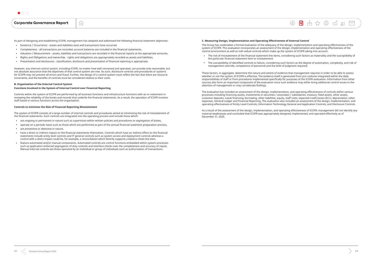

As part of designing and establishing ICOFR, management has adopted and addressed the following financial statement objectives:

- **●** Existence / Occurrence assets and liabilities exist and transactions have occurred.
- **●** Completeness all transactions are recorded, account balances are included in the financial statements.

**n** 

- **●** Valuation / Measurement assets, liabilities and transactions are recorded in the financial reports at the appropriate amounts.
- **●** Rights and Obligations and ownership rights and obligations are appropriately recorded as assets and liabilities.
- **●** Presentation and disclosures classification, disclosure and presentation of financial reporting is appropriate.

However, any internal control system, including ICOFR, no matter how well conceived and operated, can provide only reasonable, but not absolute assurance that the objectives of that control system are met. As such, disclosure controls and procedures or systems for ICOFR may not prevent all errors and fraud. Further, the design of a control system must reflect the fact that there are resource constraints, and the benefits of controls must be considered relative to their costs.

#### **B. Organisation of the Internal Control System**

#### **Functions Involved in the System of Internal Control over Financial Reporting**

Controls within the system of ICOFR are performed by all business functions and infrastructure functions with an in¬volvement in reviewing the reliability of the books and records that underlie the financial statements. As a result, the operation of ICOFR involves staff based in various functions across the organisation.

#### **Controls to minimise the Risk of Financial Reporting Misstatement**

The system of ICOFR consists of a large number of internal controls and procedures aimed at minimizing the risk of misstatement of the financial statements. Such controls are integrated into the operating process and include those which:

- **●** are ongoing or permanent in nature such as supervision within written policies and procedures or segregation of duties,
- **●** operate on a periodic basis such as those which are performed as part of the annual financial statement preparation process,
- **●** are preventive or detective in nature,
- **●** have a direct or indirect impact on the financial statements themselves. Controls which have an indirect effect on the financial statements include entity level controls and IT general controls such as system access and deployment controls whereas a control with a direct impact could be, for example, a reconciliation which directly supports a balance sheet line item,
- feature automated and/or manual components. Automated controls are control functions embedded within system processes such as application enforced segregation of duty controls and interface checks over the completeness and accuracy of inputs. Manual internal controls are those operated by an individual or group of individuals such as authorisation of transactions.

#### **C. Measuring Design, Implementation and Operating Effectiveness of Internal Control**

The Group has undertaken a formal evaluation of the adequacy of the design, implementation and operating effectiveness of the system of ICOFR. This evaluation incorporates an assessment of the design, implementation and operating effectiveness of the control environment as well as indi¬vidual controls which make up the system of ICOFR taking into account:

**●** The risk of misstatement of the financial statement line items, considering such factors as materiality and the susceptibility of

 $\circledR$ 

**●** The susceptibility of identified controls to failure, considering such factors as the degree of automation, complexity, and risk of

- the particular financial statement item to misstatement.
- management override, competence of personnel and the level of judgment required.

These factors, in aggregate, determine the nature and extent of evidence that management requires in order to be able to assess whether or not the system of ICOFR is effective. The evidence itself is generated from pro-cedures integrated within the daily responsibilities of staff or from procedures implemented specifically for purposes of the ICOFR evaluation. Information from other sources also form an important component of the evaluation since such evidence may either bring additional control issues to the attention of management or may corroborate findings.

The evaluation has included an assessment of the design, implementation, and operating effectiveness of controls within various processes including financing assets, investments in securities / associates / subsidiaries, treasury, fixed assets, other assets, customer deposits, sukuk financing, borrowing, other liabilities, equity, staff costs, expected credit losses (ECL), depreciation, other expenses, General Ledger and Financial Reporting. The evaluation also included an assessment of the design, implementation, and operating effectiveness of Entity Level Controls, Information Technology General and Application Controls, and Disclosure Controls.

As a result of the assessment of the design, implementation, and operating effectiveness of ICOFR, management did not identify any material weaknesses and concluded that ICOFR was appropriately designed, implemented, and operated effectively as of December 31, 2020.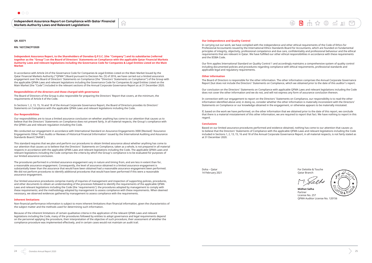

 $\circledR$ 

#### **QR. 83371**

**RN: 1637/SM/FY2020**

**Independent Assurance Report, to the Shareholders of Ooredoo Q.P.S.C. (the "Company") and its subsidiaries (referred together as the "Group") on the Board of Directors' Statements on Compliance with the applicable Qatar Financial Markets Authority Laws and relevant legislations including the Governance Code for Companies & Legal Entities Listed on the Main Market** 

In accordance with Article 24 of the Governance Code for Companies & Legal Entities Listed on the Main Market Issued by the Qatar Financial Markets Authority ("QFMA") Board pursuant to Decision No. (5) of 2016, we have carried out a limited assurance engagement over the Board of Directors' Statements on Compliance (the "Directors' Statements on Compliance") of the Group with the applicable QFMA Laws and relevant legislations including the Governance Code for Companies & Legal Entities Listed on the Main Market (the "Code") included in the relevant sections of the Annual Corporate Governance Report as at 31 December 2020.

#### **Responsibilities of the directors and those charged with governance**

The Board of Directors of the Group is also responsible for preparing the Directors' Report that covers, at the minimum, the requirements of Article 4 of the Code.

In Sections 1, 2, 13, 15, 16 and 18 of the Annual Corporate Governance Report, the Board of Directors provides its Directors' Statements on Compliance with the applicable QFMA Laws and relevant legislations including the Code.

#### **Our Responsibilities**

Our responsibilities are to issue a limited assurance conclusion on whether anything has come to our attention that causes us to believe that the Directors' Statements on Compliance does not present fairly, in all material respects, the Group's compliance with the QFMA Law and relevant regulation including the Code.

We conducted our engagement in accordance with International Standard on Assurance Engagements 3000 (Revised) 'Assurance Engagements Other Than Audits or Reviews of Historical Financial Information' issued by the International Auditing and Assurance Standards Board ('IAASB').

This standard requires that we plan and perform our procedures to obtain limited assurance about whether anything has come to our attention that causes us to believe that the Directors' Statements on Compliance, taken as a whole, is not prepared in all material respects in accordance with the applicable QFMA Laws and relevant legislations including the Code. The applicable QFMA Laws and relevant legislations including the Code comprises the criteria by which the Group's compliance is to be evaluated for purposes of our limited assurance conclusion.

The procedures performed in a limited assurance engagement vary in nature and timing from, and are less in extent than for, a reasonable assurance engagement. Consequently, the level of assurance obtained in a limited assurance engagement is substantially lower than the assurance that would have been obtained had a reasonable assurance engagement been performed. We did not perform procedures to identify additional procedures that would have been performed if this were a reasonable assurance engagement.

Our limited assurance procedures comprise mainly of inquiries of management and inspection of supporting policies, procedures, and other documents to obtain an understanding of the processes followed to identify the requirements of the applicable QFMA Laws and relevant legislations including the Code (the 'requirements'); the procedures adopted by management to comply with these requirements; and the methodology adopted by management to assess compliance with these requirements. When deemed necessary, we observed evidences gathered by management to assess compliance with the requirements.

#### **Inherent limitations**

Non-financial performance information is subject to more inherent limitations than financial information, given the characteristics of the subject matter and the methods used for determining such information.

Because of the inherent limitations of certain qualitative criteria in the application of the relevant QFMA Laws and relevant legislations including the Code, many of the procedures followed by entities to adopt governance and legal requirements depend on the personnel applying the procedure, their interpretation of the objective of such procedure, their assessment of whether the compliance procedure was implemented effectively, and in certain cases would not maintain an audit trail.

ัดโ

#### **Our Independence and Quality Control**

In carrying out our work, we have complied with the independence and other ethical requirements of the Code of Ethics for Professional Accountants issued by the International Ethics Standards Board for Accountants, which are founded on fundamental principles of integrity, objectivity, professional competence and due care, confidentiality and professional behaviour and the ethical requirements that are relevant in Qatar. We have fulfilled our other ethical responsibilities in accordance with these requirements and the IESBA Code.

Our firm applies International Standard on Quality Control 1 and accordingly maintains a comprehensive system of quality control including documented policies and procedures regarding compliance with ethical requirements, professional standards and applicable legal and regulatory requirements.

#### **Other information**

The Board of Directors is responsible for the other information. The other information comprises the Annual Corporate Governance Report (but does not include the Directors' Statements on Compliance, which we obtained prior to the date of this auditor's report.

Our conclusion on the Directors' Statements on Compliance with applicable QFMA Laws and relevant legislations including the Code does not cover the other information and we do not, and will not express any form of assurance conclusion thereon.

In connection with our engagement to report on the Directors' Statements on Compliance, our responsibility is to read the other information identified above and, in doing so, consider whether the other information is materially inconsistent with the Directors' Statements on Compliance or our knowledge obtained in the engagement, or otherwise appears to be materially misstated.

If, based on the work we have performed, on the other information that we obtained prior to the date of this report, we conclude that there is a material misstatement of this other information, we are required to report that fact. We have nothing to report in this regard.

#### **Conclusions**

Based on our limited assurance procedures performed and evidence obtained, nothing has come to our attention that causes us to believe that the Directors' Statements of Compliance with the applicable QFMA Laws and relevant legislations including the Code included in Sections 1, 2, 13, 15, 16 and 18 of the Annual Corporate Governance Report, in all material respects, is not fairly stated as at 31 December 2020.

Doha – Qatar 14 February 2021 For Deloitte & Touche Qatar Branch

**Midhat Salha** Partner License No. 257 QFMA Auditor License No. 120156

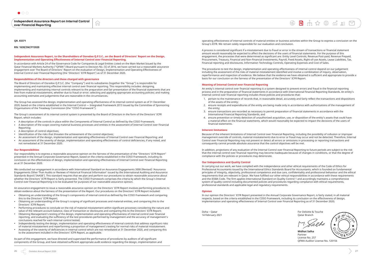#### **QR. 83371**

**RN: 1638/SM/FY2020**

#### **Independent Assurance Report, to the Shareholders of Ooredoo Q.P.S.C., on the Board of Directors' Report on the Design, Implementation and Operating Effectiveness of Internal Control over Financial Reporting.**

In accordance with Article 24 of the Governance Code for Companies & Legal Entities Listed on the Main Market Issued by the Qatar Financial Markets Authority ("QFMA") Board pursuant to Decision No. (5) of 2016, we have carried out a reasonable assurance engagement over The Board of Directors' Report on the evaluation of Design, Implementation and Operating Effectiveness of Internal Control over Financial Reporting (the 'Directors' ICFR Report') as of 31 December 2020.

ไป

#### **Responsibilities of the directors and those charged with governance**

The Board of Directors of Ooredoo Q.P.S.C. (the "Company") and its subsidiaries (together the "Group") is responsible for implementing and maintaining effective internal control over financial reporting. This responsibility includes: designing, implementing and maintaining internal controls relevant to the preparation and fair presentation of the financial statements that are free from material misstatement, whether due to fraud or error; selecting and applying appropriate accounting policies; and making accounting estimates and judgements that are reasonable in the circumstances.

The Group has assessed the design, implementation and operating effectiveness of its internal control system as of 31 December 2020, based on the criteria established in the Internal Control — Integrated Framework 2013 issued by the Committee of Sponsoring Organisations of the Treadway Commission (the "COSO Framework").

The Group's assessment of its internal control system is presented by the Board of Directors in the form of the Directors' ICFR Report, which includes:

- **●** A description of the controls in place within the Components of Internal Control as defined by the COSO Framework;
- **●** A description of the scope covering material business processes and entities in the assessment of Internal Control over Financial Reporting;
- **●** A description of control objectives;
- **●** Identification of the risks that threaten the achievement of the control objectives;
- **●** An assessment of the design, implementation and operating effectiveness of Internal Control over Financial Reporting; and
- **●** An assessment of the severity of design, implementation and operating effectiveness of control deficiencies, if any noted, and not remediated at 31 December 2020.

#### **Our Responsibilities**

Our responsibility is to express a reasonable assurance opinion on the fairness of the presentation of the "Directors' ICFR Report" presented in the Annual Corporate Governance Report, based on the criteria established in the COSO Framework, including its conclusion on the effectiveness of design, implementation and operating effectiveness of Internal Control over Financial Reporting as at 31 December 2020.

We conducted our engagement in accordance with International Standard on Assurance Engagements 3000 (Revised) 'Assurance Engagements Other Than Audits or Reviews of Historical Financial Information' issued by the International Auditing and Assurance Standards Board ('IAASB'). This standard requires that we plan and perform our procedures to obtain reasonable assurance about whether the Directors' ICFR Report is fairly presented. The COSO Framework comprises the criteria by which the Group's Internal Control over Financial Reporting is to be evaluated for purposes of our reasonable assurance opinion.

An assurance engagement to issue a reasonable assurance opinion on the Directors' ICFR Report involves performing procedures to obtain evidence about the fairness of the presentation of the Report. Our procedures on the Directors' ICFR Report included:

- **●** Obtaining an understanding of the Group's components of internal control as defined by the COSO Framework and comparing this to the Directors' ICFR Report;
- **●** Obtaining an understanding of the Group's scoping of significant processes and material entities, and comparing this to the Directors' ICFR Report;
- **●** Performing procedures to conclude on the risk of material misstatement within significant processes considering the nature and value of the relevant account balance, class of transaction or disclosures and comparing this to the Directors' ICFR Report;
- **●** Obtaining Management's testing of the design, implementation and operating effectiveness of internal control over financial reporting, and evaluating the sufficiency of the test procedures performed by management and the accuracy of management's conclusions reached for each internal control tested;
- **●** Independently testing the design, implementation and operating effectiveness of internal controls that address significant risks of material misstatement and reperforming a proportion of management's testing for normal risks of material misstatement.
- **●** Assessing of the severity of deficiencies in internal control which are not remediated at 31 December 2020, and comparing this to the assessment included in the Directors' ICFR Report, as applicable.

As part of this engagement, we have directed and supervised the performance of procedures by auditors of all significant components of the Group, and have obtained sufficient appropriate audit evidence regarding the design, implementation and

operating effectiveness of internal controls of material entities or business activities within the Group to express a conclusion on the Group's ICFR. We remain solely responsible for our evaluation and conclusion.

A process is considered significant if a misstatement due to fraud or error in the stream of transactions or financial statement amount would reasonably be expected to affect the decisions of the users of financial statements. For the purpose of this engagement, the processes that were determined as significant are: Entity Level Controls, Revenue Post-paid, Revenue Prepaid, Procurement, Treasury, Financial and Non-Financial Investments, Payroll, Fixed Assets, Right-of-use Assets, Lease Liabilities, Tax, Financial reporting and disclosures, Information Technology Controls, Operating Expenses and Cost of Sales.

The procedures to test the design, implementation and operating effectiveness of internal control depend on our judgement including the assessment of the risks of material misstatement identified and involve a combination of inquiry, observation, reperformance and inspection of evidence. We believe that the evidence we have obtained is sufficient and appropriate to provide a basis for our conclusion on the fairness of the presentation of the Directors' ICFR Report.

#### **Meaning of Internal Control over Financial Reporting**

An entity's internal control over financial reporting is a system designed to prevent errors and fraud in the financial reporting process and in the preparation of financial statements in accordance with International Financial Reporting Standards. An entity's internal control over financial reporting includes those policies and procedures that:

2. ensure receipts and expenditures of the entity are being made only in accordance with authorizations of the management of

- 1. pertain to the maintenance of records that, in reasonable detail, accurately and fairly reflect the transactions and dispositions of the assets of the entity;
- the entity;
- 3. ensure transactions are recorded as necessary to permit preparation of financial statements in accordance with the International Financial Reporting Standards, and
- 4. ensure prevention or timely detection of unauthorized acquisition, use, or disposition of the entity's assets that could have a material effect on the financial statements, which would reasonably be expected to impact the decisions of the users of financial statements.

#### **Inherent limitations**

Because of the inherent limitations of Internal Control over Financial Reporting, including the possibility of collusion or improper management override of controls, material misstatements due to error or fraud may occur and not be detected. Therefore, Internal Control over Financial Reporting may not prevent or detect all errors or omissions in processing or reporting transactions and consequently cannot provide absolute assurance that the control objectives will be met.

In addition, projections of any evaluation of the Internal Control over Financial Reporting to future periods are subject to the risk that the internal control over financial reporting may become inadequate because of changes in conditions, or that the degree of compliance with the policies or procedures may deteriorate.

#### **Our Independence and Quality Control**

In carrying out our work, we have complied with the independence and other ethical requirements of the Code of Ethics for Professional Accountants issued by the International Ethics Standards Board for Accountants, which is founded on fundamental principles of integrity, objectivity, professional competence and due care, confidentiality and professional behaviour and the ethical requirements that are relevant in Qatar. We have fulfilled our other ethical responsibilities in accordance with these requirements and the IESBA Code. The firm applies International Standard on Quality Control 1 and accordingly maintains a comprehensive system of quality control including documented policies and procedures regarding compliance with ethical requirements, professional standards and applicable legal and regulatory requirements.

#### **Opinion**

In our opinion the Directors' ICFR Report presented in the Annual Corporate Governance Report, is fairly stated, in all material respects, based on the criteria established in the COSO Framework, including its conclusion on the effectiveness of design, implementation and operating effectiveness of Internal Control over Financial Reporting as of 31 December 2020;

Doha – Qatar 14 February 2021

 $\circledR$ 

For Deloitte & Touche Qatar Branch

·Salha

**Midhat Salha** Partner License No. 257 QFMA Auditor License No. 120156